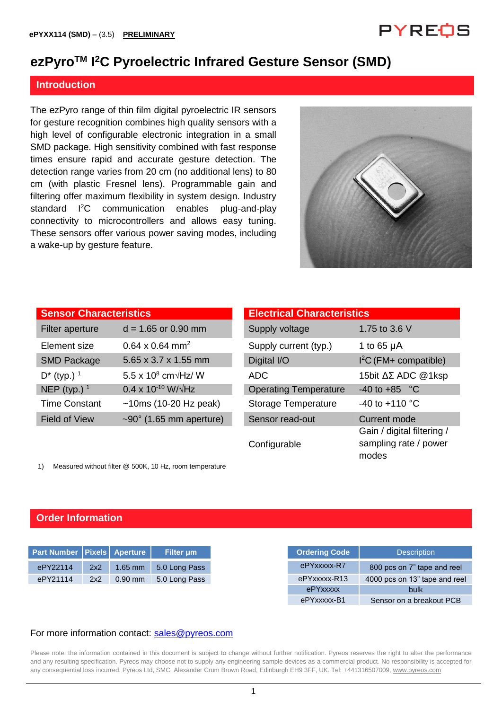## PYREOS

## **ezPyroTM I <sup>2</sup>C Pyroelectric Infrared Gesture Sensor (SMD)**

#### **Introduction**

The ezPyro range of thin film digital pyroelectric IR sensors for gesture recognition combines high quality sensors with a high level of configurable electronic integration in a small SMD package. High sensitivity combined with fast response times ensure rapid and accurate gesture detection. The detection range varies from 20 cm (no additional lens) to 80 cm (with plastic Fresnel lens). Programmable gain and filtering offer maximum flexibility in system design. Industry standard <sup>12</sup>C communication enables plug-and-play connectivity to microcontrollers and allows easy tuning. These sensors offer various power saving modes, including a wake-up by gesture feature.



| <b>Sensor Characteristics</b> |                                      | <b>Electrical Characteristics</b> |                   |  |  |  |  |
|-------------------------------|--------------------------------------|-----------------------------------|-------------------|--|--|--|--|
| Filter aperture               | $d = 1.65$ or 0.90 mm                | Supply voltage                    | 1.75 to 3.6 V     |  |  |  |  |
| Element size                  | $0.64 \times 0.64$ mm <sup>2</sup>   | Supply current (typ.)             | 1 to 65 $\mu$ A   |  |  |  |  |
| <b>SMD Package</b>            | 5.65 x 3.7 x 1.55 mm                 | Digital I/O                       | $I2C$ (FM+ comp   |  |  |  |  |
| $D^*$ (typ.) <sup>1</sup>     | 5.5 x 10 $^8$ cm $\sqrt{Hz}$ / W     | <b>ADC</b>                        | 15bit ΔΣ ADC      |  |  |  |  |
| NEP (typ.) $1$                | $0.4 \times 10^{-10}$ W/ $\sqrt{Hz}$ | <b>Operating Temperature</b>      | $-40$ to $+85$ °C |  |  |  |  |
| <b>Time Constant</b>          | $~10ms$ (10-20 Hz peak)              | <b>Storage Temperature</b>        | -40 to +110 °C    |  |  |  |  |
| <b>Field of View</b>          | $\sim$ 90° (1.65 mm aperture)        | Sensor read-out                   | Current mode      |  |  |  |  |

|                                         | <b>Electrical Characteristics</b> |                                                              |
|-----------------------------------------|-----------------------------------|--------------------------------------------------------------|
| $d = 1.65$ or 0.90 mm                   | Supply voltage                    | 1.75 to 3.6 V                                                |
| $0.64 \times 0.64$ mm <sup>2</sup>      | Supply current (typ.)             | 1 to 65 $\mu$ A                                              |
| 5.65 x 3.7 x 1.55 mm                    | Digital I/O                       | $I2C$ (FM+ compatible)                                       |
| 5.5 x $10^8$ cm $\sqrt{\text{Hz}}$ / W  | <b>ADC</b>                        | 15bit ΔΣ ADC @1ksp                                           |
| $0.4 \times 10^{-10}$ W/ $\sqrt{Hz}$    | <b>Operating Temperature</b>      | $-40$ to $+85$ °C                                            |
| $~10ms$ (10-20 Hz peak)                 | Storage Temperature               | $-40$ to $+110$ °C                                           |
| $\sim$ 90 $^{\circ}$ (1.65 mm aperture) | Sensor read-out                   | Current mode                                                 |
|                                         | Configurable                      | Gain / digital filtering /<br>sampling rate / power<br>modes |
|                                         | <b>Sensor Characteristics</b>     |                                                              |

1) Measured without filter @ 500K, 10 Hz, room temperature

#### **Order Information**

| Part Number   Pixels   Aperture |     |           | Filter um     |
|---------------------------------|-----|-----------|---------------|
| ePY22114                        | 2x2 | $1.65$ mm | 5.0 Long Pass |
| ePY21114                        | 2x2 | $0.90$ mm | 5.0 Long Pass |
|                                 |     |           |               |
|                                 |     |           |               |

#### For more information contact: [sales@pyreos.com](mailto:sales@pyreos.com)

Please note: the information contained in this document is subject to change without further notification. Pyreos reserves the right to alter the performance and any resulting specification. Pyreos may choose not to supply any engineering sample devices as a commercial product. No responsibility is accepted for any consequential loss incurred. Pyreos Ltd, SMC, Alexander Crum Brown Road, Edinburgh EH9 3FF, UK. Tel: +441316507009[, www.pyreos.com](http://www.pyreos.com/)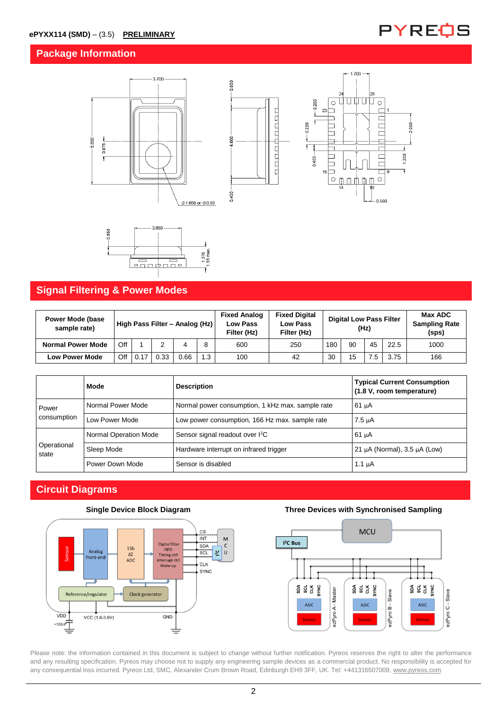### **Package Information**









## **Signal Filtering & Power Modes**

| <b>Power Mode (base</b><br>sample rate) | High Pass Filter - Analog (Hz) |      |      |      | <b>Fixed Analog</b><br><b>Low Pass</b><br>Filter (Hz) | <b>Fixed Digital</b><br><b>Low Pass</b><br>Filter (Hz) | <b>Digital Low Pass Filter</b><br>(Hz) |     |    | Max ADC<br><b>Sampling Rate</b><br>(sps) |      |      |
|-----------------------------------------|--------------------------------|------|------|------|-------------------------------------------------------|--------------------------------------------------------|----------------------------------------|-----|----|------------------------------------------|------|------|
| <b>Normal Power Mode</b>                | Off                            |      |      |      |                                                       | 600                                                    | 250                                    | 180 | 90 | 45                                       | 22.5 | 1000 |
| <b>Low Power Mode</b>                   | Off                            | 0.17 | 0.33 | 0.66 | 1.3                                                   | 100                                                    | 42                                     | 30  | 15 |                                          | 3.75 | 166  |

|                      | Mode                  | <b>Description</b>                               | <b>Typical Current Consumption</b><br>(1.8 V, room temperature) |  |
|----------------------|-----------------------|--------------------------------------------------|-----------------------------------------------------------------|--|
| Power                | Normal Power Mode     | Normal power consumption, 1 kHz max. sample rate | $61 \mu A$                                                      |  |
| consumption          | Low Power Mode        | Low power consumption, 166 Hz max, sample rate   | 7.5 µA                                                          |  |
| Operational<br>state | Normal Operation Mode | Sensor signal readout over I <sup>2</sup> C      | $61 \mu A$                                                      |  |
|                      | Sleep Mode            | Hardware interrupt on infrared trigger           | 21 $\mu$ A (Normal), 3.5 $\mu$ A (Low)                          |  |
|                      | Power Down Mode       | Sensor is disabled                               | 1.1 $\mu$ A                                                     |  |

## **Circuit Diagrams**





#### **Single Device Block Diagram Three Devices with Synchronised Sampling**



Please note: the information contained in this document is subject to change without further notification. Pyreos reserves the right to alter the performance and any resulting specification. Pyreos may choose not to supply any engineering sample devices as a commercial product. No responsibility is accepted for any consequential loss incurred. Pyreos Ltd, SMC, Alexander Crum Brown Road, Edinburgh EH9 3FF, UK. Tel: +441316507009[, www.pyreos.com](http://www.pyreos.com/)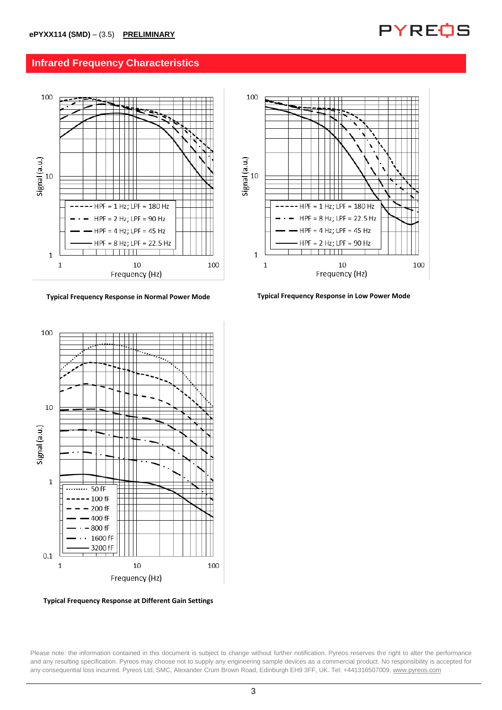

#### **Infrared Frequency Characteristics**



**Typical Frequency Response in Normal Power Mode Typical Frequency Response in Low Power Mode**



**Typical Frequency Response at Different Gain Settings**

Please note: the information contained in this document is subject to change without further notification. Pyreos reserves the right to alter the performance and any resulting specification. Pyreos may choose not to supply any engineering sample devices as a commercial product. No responsibility is accepted for any consequential loss incurred. Pyreos Ltd, SMC, Alexander Crum Brown Road, Edinburgh EH9 3FF, UK. Tel: +441316507009[, www.pyreos.com](http://www.pyreos.com/)